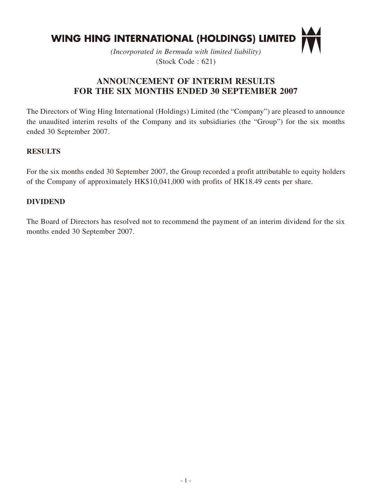

*(Incorporated in Bermuda with limited liability)* (Stock Code : 621)

# **ANNOUNCEMENT OF INTERIM RESULTS FOR THE SIX MONTHS ENDED 30 SEPTEMBER 2007**

The Directors of Wing Hing International (Holdings) Limited (the "Company") are pleased to announce the unaudited interim results of the Company and its subsidiaries (the "Group") for the six months ended 30 September 2007.

## **RESULTS**

For the six months ended 30 September 2007, the Group recorded a profit attributable to equity holders of the Company of approximately HK\$10,041,000 with profits of HK18.49 cents per share.

### **DIVIDEND**

The Board of Directors has resolved not to recommend the payment of an interim dividend for the six months ended 30 September 2007.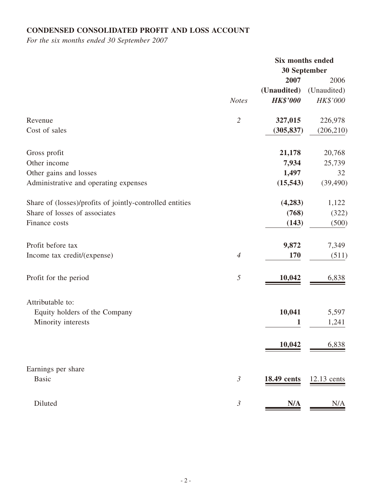# **CONDENSED CONSOLIDATED PROFIT AND LOSS ACCOUNT**

*For the six months ended 30 September 2007*

|                                                          |                | Six months ended |             |
|----------------------------------------------------------|----------------|------------------|-------------|
|                                                          | 30 September   |                  |             |
|                                                          |                | 2007             | 2006        |
|                                                          |                | (Unaudited)      | (Unaudited) |
|                                                          | <b>Notes</b>   | <b>HK\$'000</b>  | HK\$'000    |
| Revenue                                                  | $\overline{2}$ | 327,015          | 226,978     |
| Cost of sales                                            |                | (305, 837)       | (206, 210)  |
| Gross profit                                             |                | 21,178           | 20,768      |
| Other income                                             |                | 7,934            | 25,739      |
| Other gains and losses                                   |                | 1,497            | 32          |
| Administrative and operating expenses                    |                | (15, 543)        | (39, 490)   |
| Share of (losses)/profits of jointly-controlled entities |                | (4,283)          | 1,122       |
| Share of losses of associates                            |                | (768)            | (322)       |
| Finance costs                                            |                | (143)            | (500)       |
| Profit before tax                                        |                | 9,872            | 7,349       |
| Income tax credit/(expense)                              | $\overline{4}$ | 170              | (511)       |
| Profit for the period                                    | $\mathfrak{H}$ | 10,042           | 6,838       |
| Attributable to:                                         |                |                  |             |
| Equity holders of the Company                            |                | 10,041           | 5,597       |
| Minority interests                                       |                | $\mathbf{1}$     | 1,241       |
|                                                          |                | 10,042           | 6,838       |
| Earnings per share                                       |                |                  |             |
| <b>Basic</b>                                             | $\mathfrak{Z}$ | 18.49 cents      | 12.13 cents |
| Diluted                                                  | $\mathfrak{Z}$ | N/A              | N/A         |
|                                                          |                |                  |             |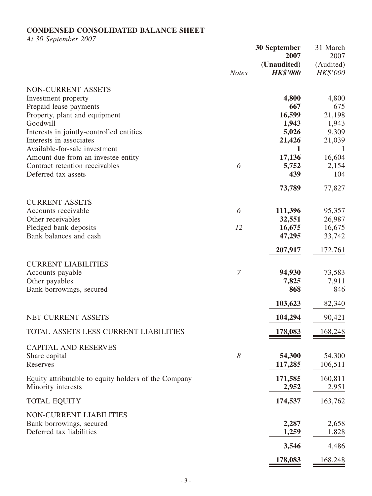# **CONDENSED CONSOLIDATED BALANCE SHEET**

*At 30 September 2007*

|                                                      |                | <b>30 September</b> | 31 March  |
|------------------------------------------------------|----------------|---------------------|-----------|
|                                                      |                | 2007                | 2007      |
|                                                      |                | (Unaudited)         | (Audited) |
|                                                      | <b>Notes</b>   | <b>HK\$'000</b>     | HK\$'000  |
| NON-CURRENT ASSETS                                   |                |                     |           |
| Investment property                                  |                | 4,800               | 4,800     |
| Prepaid lease payments                               |                | 667                 | 675       |
| Property, plant and equipment                        |                | 16,599              | 21,198    |
| Goodwill                                             |                | 1,943               | 1,943     |
| Interests in jointly-controlled entities             |                | 5,026               | 9,309     |
| Interests in associates                              |                | 21,426              | 21,039    |
| Available-for-sale investment                        |                | 1                   | 1         |
| Amount due from an investee entity                   |                | 17,136              | 16,604    |
| Contract retention receivables                       | 6              | 5,752               | 2,154     |
| Deferred tax assets                                  |                | 439                 | 104       |
|                                                      |                |                     |           |
|                                                      |                | 73,789              | 77,827    |
| <b>CURRENT ASSETS</b>                                |                |                     |           |
| Accounts receivable                                  | 6              | 111,396             | 95,357    |
| Other receivables                                    |                | 32,551              | 26,987    |
| Pledged bank deposits                                | 12             | 16,675              | 16,675    |
| Bank balances and cash                               |                | 47,295              | 33,742    |
|                                                      |                | 207,917             | 172,761   |
|                                                      |                |                     |           |
| <b>CURRENT LIABILITIES</b>                           |                |                     |           |
| Accounts payable                                     | $\overline{7}$ | 94,930              | 73,583    |
| Other payables                                       |                | 7,825               | 7,911     |
| Bank borrowings, secured                             |                | 868                 | 846       |
|                                                      |                | 103,623             | 82,340    |
| NET CURRENT ASSETS                                   |                | 104,294             | 90,421    |
| TOTAL ASSETS LESS CURRENT LIABILITIES                |                | 178,083             | 168,248   |
|                                                      |                |                     |           |
| <b>CAPITAL AND RESERVES</b>                          |                |                     |           |
| Share capital                                        | 8              | 54,300              | 54,300    |
| Reserves                                             |                | 117,285             | 106,511   |
| Equity attributable to equity holders of the Company |                | 171,585             | 160,811   |
| Minority interests                                   |                | 2,952               | 2,951     |
|                                                      |                |                     |           |
| <b>TOTAL EQUITY</b>                                  |                | 174,537             | 163,762   |
| NON-CURRENT LIABILITIES                              |                |                     |           |
| Bank borrowings, secured                             |                | 2,287               | 2,658     |
| Deferred tax liabilities                             |                | 1,259               | 1,828     |
|                                                      |                | 3,546               | 4,486     |
|                                                      |                |                     | 168,248   |
|                                                      |                | 178,083             |           |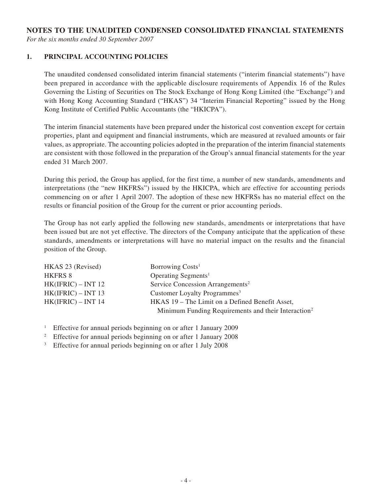## **NOTES TO THE UNAUDITED CONDENSED CONSOLIDATED FINANCIAL STATEMENTS**

*For the six months ended 30 September 2007*

#### **1. Principal accounting policies**

The unaudited condensed consolidated interim financial statements ("interim financial statements") have been prepared in accordance with the applicable disclosure requirements of Appendix 16 of the Rules Governing the Listing of Securities on The Stock Exchange of Hong Kong Limited (the "Exchange") and with Hong Kong Accounting Standard ("HKAS") 34 "Interim Financial Reporting" issued by the Hong Kong Institute of Certified Public Accountants (the "HKICPA").

The interim financial statements have been prepared under the historical cost convention except for certain properties, plant and equipment and financial instruments, which are measured at revalued amounts or fair values, as appropriate. The accounting policies adopted in the preparation of the interim financial statements are consistent with those followed in the preparation of the Group's annual financial statements for the year ended 31 March 2007.

During this period, the Group has applied, for the first time, a number of new standards, amendments and interpretations (the "new HKFRSs") issued by the HKICPA, which are effective for accounting periods commencing on or after 1 April 2007. The adoption of these new HKFRSs has no material effect on the results or financial position of the Group for the current or prior accounting periods.

The Group has not early applied the following new standards, amendments or interpretations that have been issued but are not yet effective. The directors of the Company anticipate that the application of these standards, amendments or interpretations will have no material impact on the results and the financial position of the Group.

| HKAS 23 (Revised)    | Borrowing Costs <sup>1</sup>                                    |
|----------------------|-----------------------------------------------------------------|
| HKFRS 8              | Operating Segments <sup>1</sup>                                 |
| $HK(IFRIC) - INT 12$ | Service Concession Arrangements <sup>2</sup>                    |
| $HK(IFRIC) - INT 13$ | Customer Loyalty Programmes <sup>3</sup>                        |
| $HK(IFRIC) - INT 14$ | HKAS 19 – The Limit on a Defined Benefit Asset,                 |
|                      | Minimum Funding Requirements and their Interaction <sup>2</sup> |

<sup>1</sup> Effective for annual periods beginning on or after 1 January 2009

<sup>2</sup> Effective for annual periods beginning on or after 1 January 2008

<sup>3</sup> Effective for annual periods beginning on or after 1 July 2008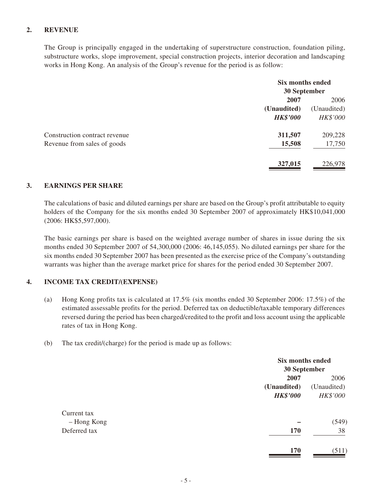### **2. Revenue**

The Group is principally engaged in the undertaking of superstructure construction, foundation piling, substructure works, slope improvement, special construction projects, interior decoration and landscaping works in Hong Kong. An analysis of the Group's revenue for the period is as follow:

|                               | Six months ended<br><b>30 September</b> |             |
|-------------------------------|-----------------------------------------|-------------|
|                               |                                         |             |
|                               | 2007                                    | 2006        |
|                               | (Unaudited)                             | (Unaudited) |
|                               | <b>HK\$'000</b>                         | HK\$'000    |
| Construction contract revenue | 311,507                                 | 209,228     |
| Revenue from sales of goods   | 15,508                                  | 17,750      |
|                               | 327,015                                 | 226,978     |

#### **3. Earnings per share**

The calculations of basic and diluted earnings per share are based on the Group's profit attributable to equity holders of the Company for the six months ended 30 September 2007 of approximately HK\$10,041,000 (2006: HK\$5,597,000).

The basic earnings per share is based on the weighted average number of shares in issue during the six months ended 30 September 2007 of 54,300,000 (2006: 46,145,055). No diluted earnings per share for the six months ended 30 September 2007 has been presented as the exercise price of the Company's outstanding warrants was higher than the average market price for shares for the period ended 30 September 2007.

#### **4. Income tax credit/(expense)**

- (a) Hong Kong profits tax is calculated at 17.5% (six months ended 30 September 2006: 17.5%) of the estimated assessable profits for the period. Deferred tax on deductible/taxable temporary differences reversed during the period has been charged/credited to the profit and loss account using the applicable rates of tax in Hong Kong.
- (b) The tax credit/(charge) for the period is made up as follows:

|              | <b>Six months ended</b> |              |  |
|--------------|-------------------------|--------------|--|
|              |                         | 30 September |  |
|              | 2007                    | 2006         |  |
|              | (Unaudited)             | (Unaudited)  |  |
|              | <b>HK\$'000</b>         | HK\$'000     |  |
| Current tax  |                         |              |  |
| - Hong Kong  |                         | (549)        |  |
| Deferred tax | 170                     | 38           |  |
|              |                         |              |  |
|              | 170                     | (511)        |  |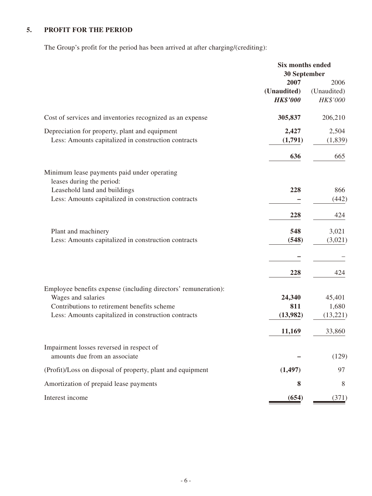# **5. Profit for the period**

The Group's profit for the period has been arrived at after charging/(crediting):

|                                                                                                                                                                                            | <b>Six months ended</b><br>30 September |                                 |
|--------------------------------------------------------------------------------------------------------------------------------------------------------------------------------------------|-----------------------------------------|---------------------------------|
|                                                                                                                                                                                            | 2007<br>(Unaudited)<br><b>HK\$'000</b>  | 2006<br>(Unaudited)<br>HK\$'000 |
| Cost of services and inventories recognized as an expense                                                                                                                                  | 305,837                                 | 206,210                         |
| Depreciation for property, plant and equipment<br>Less: Amounts capitalized in construction contracts                                                                                      | 2,427<br>(1,791)                        | 2,504<br>(1, 839)               |
|                                                                                                                                                                                            | 636                                     | 665                             |
| Minimum lease payments paid under operating<br>leases during the period:                                                                                                                   |                                         |                                 |
| Leasehold land and buildings<br>Less: Amounts capitalized in construction contracts                                                                                                        | 228                                     | 866<br>(442)                    |
|                                                                                                                                                                                            | 228                                     | 424                             |
| Plant and machinery<br>Less: Amounts capitalized in construction contracts                                                                                                                 | 548<br>(548)                            | 3,021<br>(3,021)                |
|                                                                                                                                                                                            | 228                                     | 424                             |
| Employee benefits expense (including directors' remuneration):<br>Wages and salaries<br>Contributions to retirement benefits scheme<br>Less: Amounts capitalized in construction contracts | 24,340<br>811<br>(13,982)               | 45,401<br>1,680<br>(13,221)     |
|                                                                                                                                                                                            | 11,169                                  | 33,860                          |
| Impairment losses reversed in respect of<br>amounts due from an associate                                                                                                                  |                                         | (129)                           |
| (Profit)/Loss on disposal of property, plant and equipment                                                                                                                                 | (1, 497)                                | 97                              |
| Amortization of prepaid lease payments                                                                                                                                                     | 8                                       | 8                               |
| Interest income                                                                                                                                                                            | (654)                                   |                                 |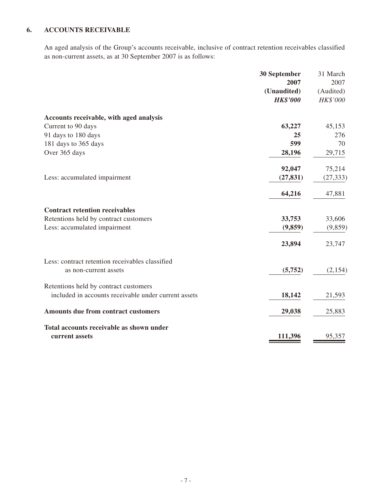## **6. Accounts receivable**

An aged analysis of the Group's accounts receivable, inclusive of contract retention receivables classified as non-current assets, as at 30 September 2007 is as follows:

|                                                      | 30 September    | 31 March  |
|------------------------------------------------------|-----------------|-----------|
|                                                      | 2007            | 2007      |
|                                                      | (Unaudited)     | (Audited) |
|                                                      | <b>HK\$'000</b> | HK\$'000  |
| Accounts receivable, with aged analysis              |                 |           |
| Current to 90 days                                   | 63,227          | 45,153    |
| 91 days to 180 days                                  | 25              | 276       |
| 181 days to 365 days                                 | 599             | 70        |
| Over 365 days                                        | 28,196          | 29,715    |
|                                                      | 92,047          | 75,214    |
| Less: accumulated impairment                         | (27, 831)       | (27, 333) |
|                                                      | 64,216          | 47,881    |
| <b>Contract retention receivables</b>                |                 |           |
| Retentions held by contract customers                | 33,753          | 33,606    |
| Less: accumulated impairment                         | (9, 859)        | (9, 859)  |
|                                                      | 23,894          | 23,747    |
| Less: contract retention receivables classified      |                 |           |
| as non-current assets                                | (5,752)         | (2,154)   |
| Retentions held by contract customers                |                 |           |
| included in accounts receivable under current assets | 18,142          | 21,593    |
| Amounts due from contract customers                  | 29,038          | 25,883    |
| Total accounts receivable as shown under             |                 |           |
| current assets                                       | 111,396         | 95,357    |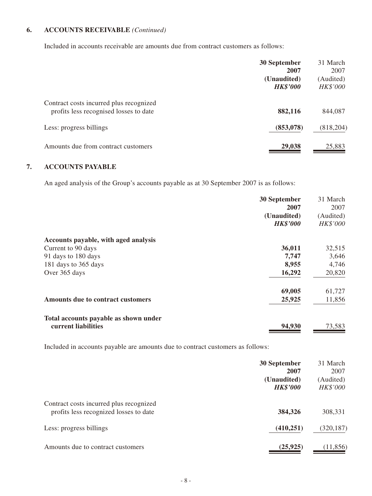## **6. Accounts receivable** *(Continued)*

Included in accounts receivable are amounts due from contract customers as follows:

|                                                                                   | 30 September<br>2007           | 31 March<br>2007      |
|-----------------------------------------------------------------------------------|--------------------------------|-----------------------|
|                                                                                   | (Unaudited)<br><b>HK\$'000</b> | (Audited)<br>HK\$'000 |
| Contract costs incurred plus recognized<br>profits less recognised losses to date | 882,116                        | 844,087               |
| Less: progress billings                                                           | (853,078)                      | (818, 204)            |
| Amounts due from contract customers                                               | 29,038                         | 25,883                |

## **7. Accounts payable**

An aged analysis of the Group's accounts payable as at 30 September 2007 is as follows:

| 30 September                                | 31 March  |
|---------------------------------------------|-----------|
| 2007                                        | 2007      |
| (Unaudited)                                 | (Audited) |
| <b>HK\$'000</b>                             | HK\$'000  |
| Accounts payable, with aged analysis        |           |
| 36,011<br>Current to 90 days                | 32,515    |
| 91 days to 180 days<br>7,747                | 3,646     |
| 8,955<br>181 days to 365 days               | 4,746     |
| 16,292<br>Over 365 days                     | 20,820    |
| 69,005                                      | 61,727    |
| 25,925<br>Amounts due to contract customers | 11,856    |
| Total accounts payable as shown under       |           |
| current liabilities<br>94,930               | 73,583    |

Included in accounts payable are amounts due to contract customers as follows:

|                                                                                   | <b>30 September</b><br>2007    | 31 March<br>2007      |
|-----------------------------------------------------------------------------------|--------------------------------|-----------------------|
|                                                                                   | (Unaudited)<br><b>HK\$'000</b> | (Audited)<br>HK\$'000 |
| Contract costs incurred plus recognized<br>profits less recognized losses to date | 384,326                        | 308,331               |
| Less: progress billings                                                           | (410, 251)                     | (320, 187)            |
| Amounts due to contract customers                                                 | (25, 925)                      | (11, 856)             |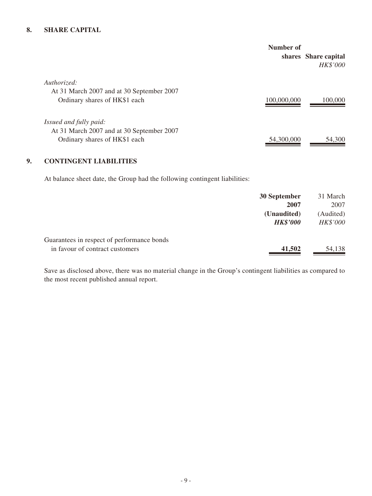#### **8. Share capital**

|                                                                            | Number of   | shares Share capital<br>HK\$'000 |
|----------------------------------------------------------------------------|-------------|----------------------------------|
| Authorized:                                                                |             |                                  |
| At 31 March 2007 and at 30 September 2007<br>Ordinary shares of HK\$1 each | 100,000,000 | 100,000                          |
| Issued and fully paid:                                                     |             |                                  |
| At 31 March 2007 and at 30 September 2007<br>Ordinary shares of HK\$1 each | 54,300,000  | 54,300                           |

#### **9. Contingent liabilities**

At balance sheet date, the Group had the following contingent liabilities:

|                                            | 30 September    | 31 March  |
|--------------------------------------------|-----------------|-----------|
|                                            | 2007            | 2007      |
|                                            | (Unaudited)     | (Audited) |
|                                            | <b>HK\$'000</b> | HK\$'000  |
| Guarantees in respect of performance bonds |                 |           |
| in favour of contract customers            | 41,502          | 54,138    |

Save as disclosed above, there was no material change in the Group's contingent liabilities as compared to the most recent published annual report.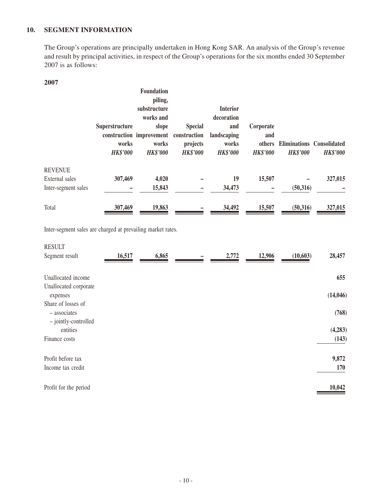### **10. Segment information**

The Group's operations are principally undertaken in Hong Kong SAR. An analysis of the Group's revenue and result by principal activities, in respect of the Group's operations for the six months ended 30 September 2007 is as follows:

#### **2007**

|                     | <b>Superstructure</b><br>works<br><b>HK\$'000</b> | <b>Foundation</b><br>piling,<br>substructure<br>works and<br>slope<br>construction improvement<br>works<br><b>HK\$'000</b> | <b>Special</b><br>construction<br>projects<br><b>HK\$'000</b> | <b>Interior</b><br>decoration<br>and<br>landscaping<br>works<br><b>HK\$'000</b> | Corporate<br>and<br>others<br><b>HK\$'000</b> | Eliminations Consolidated<br><b>HK\$'000</b> | <b>HK\$'000</b> |
|---------------------|---------------------------------------------------|----------------------------------------------------------------------------------------------------------------------------|---------------------------------------------------------------|---------------------------------------------------------------------------------|-----------------------------------------------|----------------------------------------------|-----------------|
| <b>REVENUE</b>      |                                                   |                                                                                                                            |                                                               |                                                                                 |                                               |                                              |                 |
| External sales      | 307,469                                           | 4,020                                                                                                                      |                                                               | 19                                                                              | 15,507                                        |                                              | 327,015         |
| Inter-segment sales |                                                   | 15,843                                                                                                                     |                                                               | 34,473                                                                          |                                               | (50,316)                                     |                 |
| Total               | 307,469                                           | 19,863                                                                                                                     |                                                               | 34,492                                                                          | 15,507                                        | (50, 316)                                    | 327,015         |

Inter-segment sales are charged at prevailing market rates.

| 28,457<br>655 |
|---------------|
|               |
|               |
| (14, 046)     |
| (768)         |
| (4,283)       |
| (143)         |
| 9,872         |
| 170           |
| 10,042        |
|               |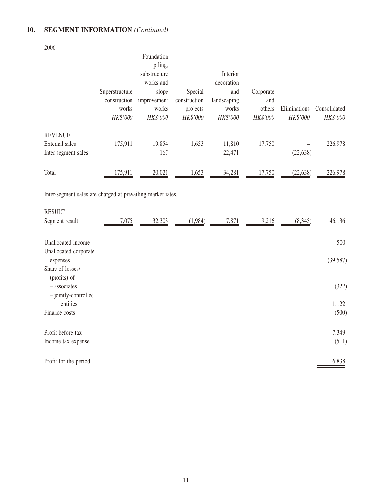## **10. Segment information** *(Continued)*

2006

– jointly-controlled

|                                                             |                | Foundation<br>piling, |              |             |           |              |              |
|-------------------------------------------------------------|----------------|-----------------------|--------------|-------------|-----------|--------------|--------------|
|                                                             |                | substructure          |              | Interior    |           |              |              |
|                                                             |                | works and             |              | decoration  |           |              |              |
|                                                             | Superstructure | slope                 | Special      | and         | Corporate |              |              |
|                                                             | construction   | improvement           | construction | landscaping | and       |              |              |
|                                                             | works          | works                 | projects     | works       | others    | Eliminations | Consolidated |
|                                                             | HK\$'000       | HK\$'000              | HK\$'000     | HK\$'000    | HK\$'000  | HK\$'000     | HK\$'000     |
| <b>REVENUE</b>                                              |                |                       |              |             |           |              |              |
| External sales                                              | 175,911        | 19,854                | 1,653        | 11,810      | 17,750    |              | 226,978      |
| Inter-segment sales                                         |                | 167                   |              | 22,471      |           | (22, 638)    |              |
|                                                             |                |                       |              |             |           |              |              |
| Total                                                       | 175,911        | 20,021                | 1,653        | 34,281      | 17,750    | (22, 638)    | 226,978      |
|                                                             |                |                       |              |             |           |              |              |
| Inter-segment sales are charged at prevailing market rates. |                |                       |              |             |           |              |              |
| <b>RESULT</b>                                               |                |                       |              |             |           |              |              |
| Segment result                                              | 7,075          | 32,303                | (1,984)      | 7,871       | 9,216     | (8,345)      | 46,136       |
|                                                             |                |                       |              |             |           |              |              |
| Unallocated income                                          |                |                       |              |             |           |              | 500          |
| Unallocated corporate                                       |                |                       |              |             |           |              |              |
| expenses                                                    |                |                       |              |             |           |              | (39, 587)    |
| Share of losses/                                            |                |                       |              |             |           |              |              |
| (profits) of                                                |                |                       |              |             |           |              |              |
| - associates                                                |                |                       |              |             |           |              | (322)        |

 entities 1,122 Finance costs (500)

Profit before tax 7,349 Income tax expense (511)

Profit for the period **6,838 10**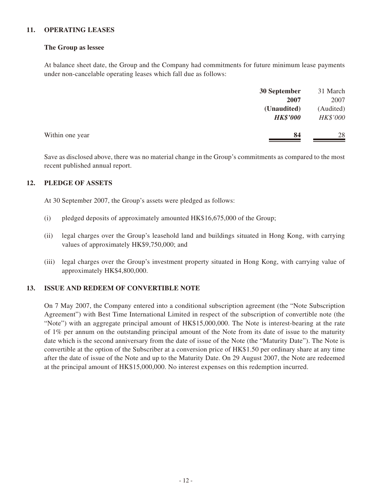#### **11. Operating leases**

#### **The Group as lessee**

At balance sheet date, the Group and the Company had commitments for future minimum lease payments under non-cancelable operating leases which fall due as follows:

|                 | 30 September    | 31 March  |
|-----------------|-----------------|-----------|
|                 | 2007            | 2007      |
|                 | (Unaudited)     | (Audited) |
|                 | <b>HK\$'000</b> | HK\$'000  |
| Within one year | 84              | 28        |

Save as disclosed above, there was no material change in the Group's commitments as compared to the most recent published annual report.

### **12. Pledge of assets**

At 30 September 2007, the Group's assets were pledged as follows:

- (i) pledged deposits of approximately amounted HK\$16,675,000 of the Group;
- (ii) legal charges over the Group's leasehold land and buildings situated in Hong Kong, with carrying values of approximately HK\$9,750,000; and
- (iii) legal charges over the Group's investment property situated in Hong Kong, with carrying value of approximately HK\$4,800,000.

#### **13. Issue and redeem of convertible note**

On 7 May 2007, the Company entered into a conditional subscription agreement (the "Note Subscription Agreement") with Best Time International Limited in respect of the subscription of convertible note (the "Note") with an aggregate principal amount of HK\$15,000,000. The Note is interest-bearing at the rate of 1% per annum on the outstanding principal amount of the Note from its date of issue to the maturity date which is the second anniversary from the date of issue of the Note (the "Maturity Date"). The Note is convertible at the option of the Subscriber at a conversion price of HK\$1.50 per ordinary share at any time after the date of issue of the Note and up to the Maturity Date. On 29 August 2007, the Note are redeemed at the principal amount of HK\$15,000,000. No interest expenses on this redemption incurred.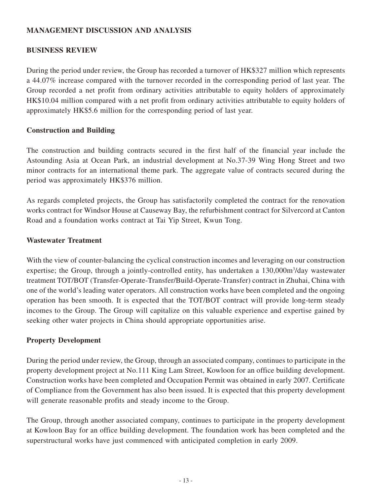## **MANAGEMENT DISCUSSION AND ANALYSIS**

## **BUSINESS REVIEW**

During the period under review, the Group has recorded a turnover of HK\$327 million which represents a 44.07% increase compared with the turnover recorded in the corresponding period of last year. The Group recorded a net profit from ordinary activities attributable to equity holders of approximately HK\$10.04 million compared with a net profit from ordinary activities attributable to equity holders of approximately HK\$5.6 million for the corresponding period of last year.

## **Construction and Building**

The construction and building contracts secured in the first half of the financial year include the Astounding Asia at Ocean Park, an industrial development at No.37-39 Wing Hong Street and two minor contracts for an international theme park. The aggregate value of contracts secured during the period was approximately HK\$376 million.

As regards completed projects, the Group has satisfactorily completed the contract for the renovation works contract for Windsor House at Causeway Bay, the refurbishment contract for Silvercord at Canton Road and a foundation works contract at Tai Yip Street, Kwun Tong.

## **Wastewater Treatment**

With the view of counter-balancing the cyclical construction incomes and leveraging on our construction expertise; the Group, through a jointly-controlled entity, has undertaken a 130,000m<sup>3</sup>/day wastewater treatment TOT/BOT (Transfer-Operate-Transfer/Build-Operate-Transfer) contract in Zhuhai, China with one of the world's leading water operators. All construction works have been completed and the ongoing operation has been smooth. It is expected that the TOT/BOT contract will provide long-term steady incomes to the Group. The Group will capitalize on this valuable experience and expertise gained by seeking other water projects in China should appropriate opportunities arise.

## **Property Development**

During the period under review, the Group, through an associated company, continues to participate in the property development project at No.111 King Lam Street, Kowloon for an office building development. Construction works have been completed and Occupation Permit was obtained in early 2007. Certificate of Compliance from the Government has also been issued. It is expected that this property development will generate reasonable profits and steady income to the Group.

The Group, through another associated company, continues to participate in the property development at Kowloon Bay for an office building development. The foundation work has been completed and the superstructural works have just commenced with anticipated completion in early 2009.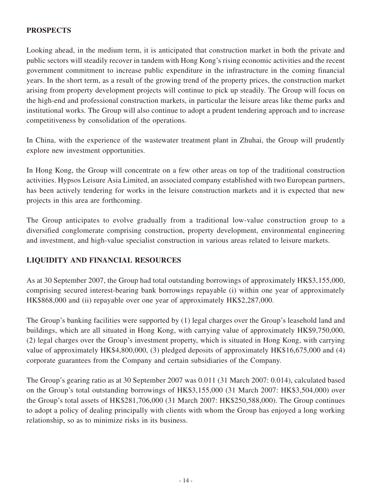## **PROSPECTS**

Looking ahead, in the medium term, it is anticipated that construction market in both the private and public sectors will steadily recover in tandem with Hong Kong's rising economic activities and the recent government commitment to increase public expenditure in the infrastructure in the coming financial years. In the short term, as a result of the growing trend of the property prices, the construction market arising from property development projects will continue to pick up steadily. The Group will focus on the high-end and professional construction markets, in particular the leisure areas like theme parks and institutional works. The Group will also continue to adopt a prudent tendering approach and to increase competitiveness by consolidation of the operations.

In China, with the experience of the wastewater treatment plant in Zhuhai, the Group will prudently explore new investment opportunities.

In Hong Kong, the Group will concentrate on a few other areas on top of the traditional construction activities. Hypsos Leisure Asia Limited, an associated company established with two European partners, has been actively tendering for works in the leisure construction markets and it is expected that new projects in this area are forthcoming.

The Group anticipates to evolve gradually from a traditional low-value construction group to a diversified conglomerate comprising construction, property development, environmental engineering and investment, and high-value specialist construction in various areas related to leisure markets.

## **LIQUIDITY AND FINANCIAL RESOURCES**

As at 30 September 2007, the Group had total outstanding borrowings of approximately HK\$3,155,000, comprising secured interest-bearing bank borrowings repayable (i) within one year of approximately HK\$868,000 and (ii) repayable over one year of approximately HK\$2,287,000.

The Group's banking facilities were supported by (1) legal charges over the Group's leasehold land and buildings, which are all situated in Hong Kong, with carrying value of approximately HK\$9,750,000, (2) legal charges over the Group's investment property, which is situated in Hong Kong, with carrying value of approximately HK\$4,800,000, (3) pledged deposits of approximately HK\$16,675,000 and (4) corporate guarantees from the Company and certain subsidiaries of the Company.

The Group's gearing ratio as at 30 September 2007 was 0.011 (31 March 2007: 0.014), calculated based on the Group's total outstanding borrowings of HK\$3,155,000 (31 March 2007: HK\$3,504,000) over the Group's total assets of HK\$281,706,000 (31 March 2007: HK\$250,588,000). The Group continues to adopt a policy of dealing principally with clients with whom the Group has enjoyed a long working relationship, so as to minimize risks in its business.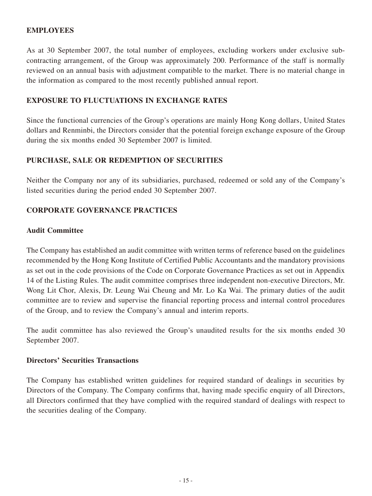## **EMPLOYEES**

As at 30 September 2007, the total number of employees, excluding workers under exclusive subcontracting arrangement, of the Group was approximately 200. Performance of the staff is normally reviewed on an annual basis with adjustment compatible to the market. There is no material change in the information as compared to the most recently published annual report.

## **EXPOSURE TO FLUCTUATIONS IN EXCHANGE RATES**

Since the functional currencies of the Group's operations are mainly Hong Kong dollars, United States dollars and Renminbi, the Directors consider that the potential foreign exchange exposure of the Group during the six months ended 30 September 2007 is limited.

## **PURCHASE, SALE OR REDEMPTION OF SECURITIES**

Neither the Company nor any of its subsidiaries, purchased, redeemed or sold any of the Company's listed securities during the period ended 30 September 2007.

## **CORPORATE GOVERNANCE PRACTICES**

## **Audit Committee**

The Company has established an audit committee with written terms of reference based on the guidelines recommended by the Hong Kong Institute of Certified Public Accountants and the mandatory provisions as set out in the code provisions of the Code on Corporate Governance Practices as set out in Appendix 14 of the Listing Rules. The audit committee comprises three independent non-executive Directors, Mr. Wong Lit Chor, Alexis, Dr. Leung Wai Cheung and Mr. Lo Ka Wai. The primary duties of the audit committee are to review and supervise the financial reporting process and internal control procedures of the Group, and to review the Company's annual and interim reports.

The audit committee has also reviewed the Group's unaudited results for the six months ended 30 September 2007.

### **Directors' Securities Transactions**

The Company has established written guidelines for required standard of dealings in securities by Directors of the Company. The Company confirms that, having made specific enquiry of all Directors, all Directors confirmed that they have complied with the required standard of dealings with respect to the securities dealing of the Company.